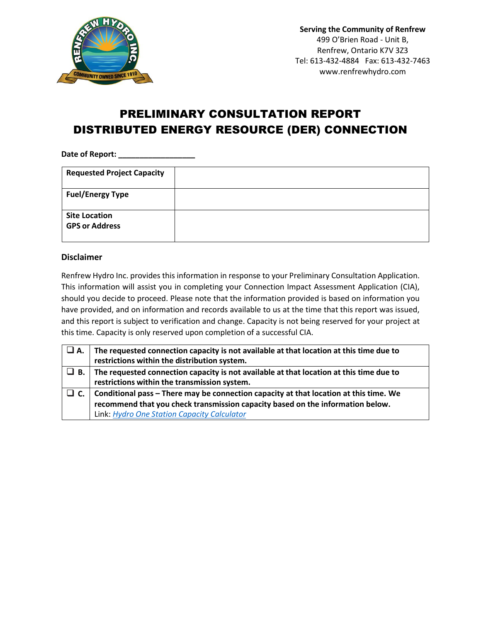

## PRELIMINARY CONSULTATION REPORT DISTRIBUTED ENERGY RESOURCE (DER) CONNECTION

**Date of Report: \_\_\_\_\_\_\_\_\_\_\_\_\_\_\_\_\_\_**

| <b>Requested Project Capacity</b>             |  |
|-----------------------------------------------|--|
| <b>Fuel/Energy Type</b>                       |  |
| <b>Site Location</b><br><b>GPS or Address</b> |  |

## **Disclaimer**

Renfrew Hydro Inc. provides this information in response to your Preliminary Consultation Application. This information will assist you in completing your Connection Impact Assessment Application (CIA), should you decide to proceed. Please note that the information provided is based on information you have provided, and on information and records available to us at the time that this report was issued, and this report is subject to verification and change. Capacity is not being reserved for your project at this time. Capacity is only reserved upon completion of a successful CIA.

| $\Box$ A. | The requested connection capacity is not available at that location at this time due to<br>restrictions within the distribution system. |
|-----------|-----------------------------------------------------------------------------------------------------------------------------------------|
| $\Box$ B. | The requested connection capacity is not available at that location at this time due to<br>restrictions within the transmission system. |
|           | Conditional pass - There may be connection capacity at that location at this time. We                                                   |
|           | recommend that you check transmission capacity based on the information below.                                                          |
|           | Link: Hydro One Station Capacity Calculator                                                                                             |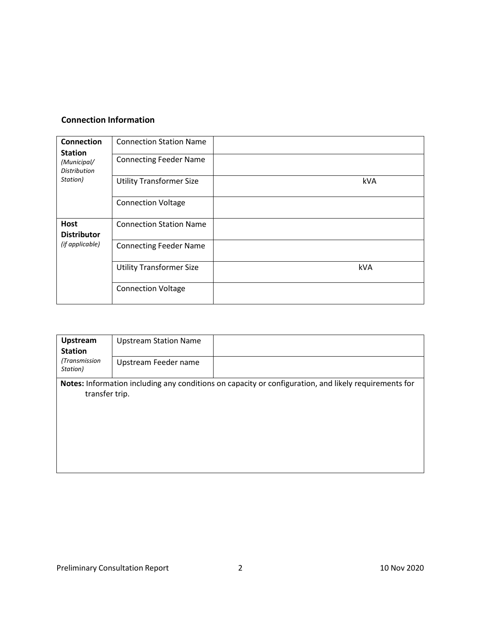## **Connection Information**

| <b>Connection</b><br><b>Station</b><br>(Municipal/<br><b>Distribution</b><br>Station) | <b>Connection Station Name</b><br><b>Connecting Feeder Name</b> |     |
|---------------------------------------------------------------------------------------|-----------------------------------------------------------------|-----|
|                                                                                       | <b>Utility Transformer Size</b>                                 | kVA |
|                                                                                       | <b>Connection Voltage</b>                                       |     |
| <b>Host</b><br><b>Distributor</b><br>(if applicable)                                  | <b>Connection Station Name</b>                                  |     |
|                                                                                       | <b>Connecting Feeder Name</b>                                   |     |
|                                                                                       | <b>Utility Transformer Size</b>                                 | kVA |
|                                                                                       | <b>Connection Voltage</b>                                       |     |

| Upstream<br><b>Station</b>                                                                                              | <b>Upstream Station Name</b> |  |
|-------------------------------------------------------------------------------------------------------------------------|------------------------------|--|
| (Transmission<br>Station)                                                                                               | Upstream Feeder name         |  |
| Notes: Information including any conditions on capacity or configuration, and likely requirements for<br>transfer trip. |                              |  |